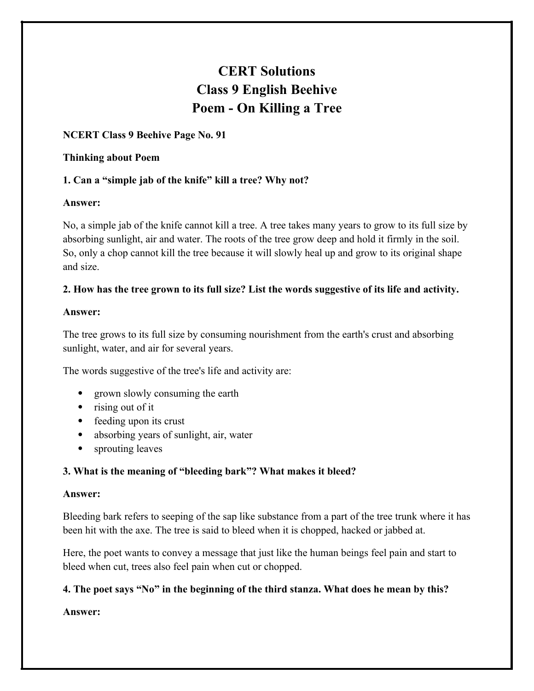# **CERT Solutions Class 9 English Beehive Poem - On Killing a Tree**

## **NCERT Class 9 Beehive Page No. 91**

#### **Thinking about Poem**

# **1. Can a "simple jab of the knife" kill a tree? Why not?**

## **Answer:**

No, a simple jab of the knife cannot kill a tree. A tree takes many years to grow to its full size by absorbing sunlight, air and water. The roots of the tree grow deep and hold it firmly in the soil. So, only a chop cannot kill the tree because it will slowly heal up and grow to its original shape and size.

## **2. How has the tree grown to its full size? List the words suggestive of its life and activity.**

#### **Answer:**

The tree grows to its full size by consuming nourishment from the earth's crust and absorbing sunlight, water, and air for several years.

The words suggestive of the tree's life and activity are:

- grown slowly consuming the earth
- rising out of it
- feeding upon its crust
- absorbing years of sunlight, air, water
- sprouting leaves

# **3. What is the meaning of "bleeding bark"? What makes it bleed?**

#### **Answer:**

Bleeding bark refers to seeping of the sap like substance from a part of the tree trunk where it has been hit with the axe. The tree is said to bleed when it is chopped, hacked or jabbed at.

Here, the poet wants to convey a message that just like the human beings feel pain and start to bleed when cut, trees also feel pain when cut or chopped.

## **4. The poet says "No" in the beginning of the third stanza. What does he mean by this?**

**Answer:**